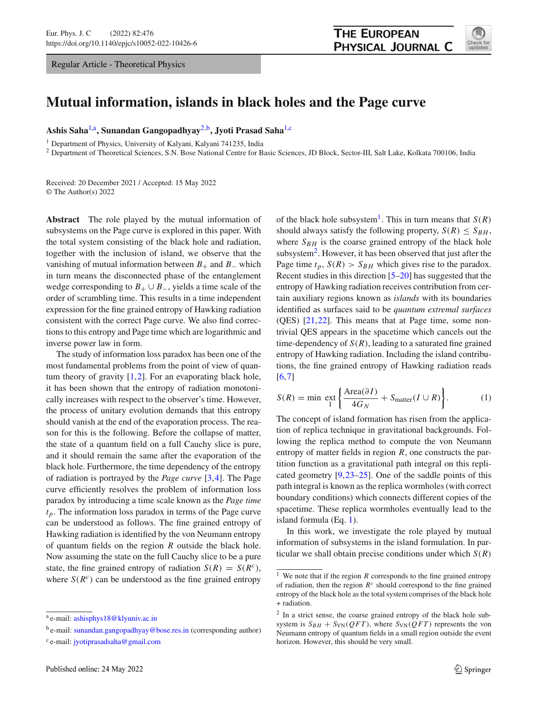Regular Article - Theoretical Physics



## **Mutual information, islands in black holes and the Page curve**

**Ashis Saha**[1,](#page-0-0)a**, Sunandan Gangopadhyay**[2,](#page-0-0)b**, Jyoti Prasad Saha**[1,](#page-0-0)c

<sup>1</sup> Department of Physics, University of Kalyani, Kalyani 741235, India

<sup>2</sup> Department of Theoretical Sciences, S.N. Bose National Centre for Basic Sciences, JD Block, Sector-III, Salt Lake, Kolkata 700106, India

Received: 20 December 2021 / Accepted: 15 May 2022 © The Author(s) 2022

**Abstract** The role played by the mutual information of subsystems on the Page curve is explored in this paper. With the total system consisting of the black hole and radiation, together with the inclusion of island, we observe that the vanishing of mutual information between  $B_+$  and  $B_-$  which in turn means the disconnected phase of the entanglement wedge corresponding to  $B_+ \cup B_-,$  yields a time scale of the order of scrambling time. This results in a time independent expression for the fine grained entropy of Hawking radiation consistent with the correct Page curve. We also find corrections to this entropy and Page time which are logarithmic and inverse power law in form.

The study of information loss paradox has been one of the most fundamental problems from the point of view of quantum theory of gravity  $[1,2]$  $[1,2]$  $[1,2]$ . For an evaporating black hole, it has been shown that the entropy of radiation monotonically increases with respect to the observer's time. However, the process of unitary evolution demands that this entropy should vanish at the end of the evaporation process. The reason for this is the following. Before the collapse of matter, the state of a quantum field on a full Cauchy slice is pure, and it should remain the same after the evaporation of the black hole. Furthermore, the time dependency of the entropy of radiation is portrayed by the *Page curve* [\[3,](#page-5-2)[4\]](#page-5-3). The Page curve efficiently resolves the problem of information loss paradox by introducing a time scale known as the *Page time tp*. The information loss paradox in terms of the Page curve can be understood as follows. The fine grained entropy of Hawking radiation is identified by the von Neumann entropy of quantum fields on the region *R* outside the black hole. Now assuming the state on the full Cauchy slice to be a pure state, the fine grained entropy of radiation  $S(R) = S(R^c)$ , where  $S(R^c)$  can be understood as the fine grained entropy

<span id="page-0-0"></span>of the black hole subsystem<sup>[1](#page-0-1)</sup>. This in turn means that  $S(R)$ should always satisfy the following property,  $S(R) \leq S_{BH}$ , where  $S_{BH}$  is the coarse grained entropy of the black hole subsystem $<sup>2</sup>$ . However, it has been observed that just after the</sup> Page time  $t_p$ ,  $S(R) > S_{BH}$  which gives rise to the paradox. Recent studies in this direction [\[5](#page-5-4)[–20\]](#page-5-5) has suggested that the entropy of Hawking radiation receives contribution from certain auxiliary regions known as *islands* with its boundaries identified as surfaces said to be *quantum extremal surfaces* (QES) [\[21](#page-6-0)[,22](#page-6-1)]. This means that at Page time, some nontrivial QES appears in the spacetime which cancels out the time-dependency of  $S(R)$ , leading to a saturated fine grained entropy of Hawking radiation. Including the island contributions, the fine grained entropy of Hawking radiation reads  $[6, 7]$  $[6, 7]$  $[6, 7]$ 

<span id="page-0-3"></span>
$$
S(R) = \min \, \mathop{\rm ext}\limits_{\text{I}} \left\{ \frac{\text{Area}(\partial I)}{4G_N} + S_{\text{matter}}(I \cup R) \right\}.
$$
 (1)

The concept of island formation has risen from the application of replica technique in gravitational backgrounds. Following the replica method to compute the von Neumann entropy of matter fields in region *R*, one constructs the partition function as a gravitational path integral on this replicated geometry [\[9](#page-5-8),[23](#page-6-2)[–25](#page-6-3)]. One of the saddle points of this path integral is known as the replica wormholes (with correct boundary conditions) which connects different copies of the spacetime. These replica wormholes eventually lead to the island formula (Eq. [1\)](#page-0-3).

In this work, we investigate the role played by mutual information of subsystems in the island formulation. In particular we shall obtain precise conditions under which *S*(*R*)

<sup>a</sup> e-mail: [ashisphys18@klyuniv.ac.in](mailto:ashisphys18@klyuniv.ac.in)

<sup>b</sup> e-mail: [sunandan.gangopadhyay@bose.res.in](mailto:sunandan.gangopadhyay@bose.res.in) (corresponding author)

<sup>c</sup> e-mail: [jyotiprasadsaha@gmail.com](mailto:jyotiprasadsaha@gmail.com)

<span id="page-0-1"></span> $\frac{1}{1}$  We note that if the region *R* corresponds to the fine grained entropy of radiation, then the region  $R^c$  should correspond to the fine grained entropy of the black hole as the total system comprises of the black hole + radiation.

<span id="page-0-2"></span><sup>2</sup> In a strict sense, the coarse grained entropy of the black hole subsystem is  $S_{BH} + S_{VN}(QFT)$ , where  $S_{VN}(QFT)$  represents the von Neumann entropy of quantum fields in a small region outside the event horizon. However, this should be very small.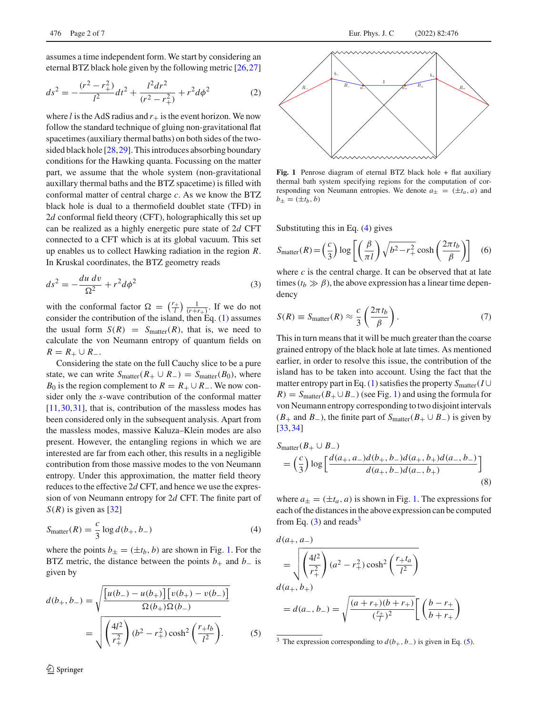$$
ds^{2} = -\frac{(r^{2} - r_{+}^{2})}{l^{2}}dt^{2} + \frac{l^{2}dr^{2}}{(r^{2} - r_{+}^{2})} + r^{2}d\phi^{2}
$$
 (2)

where *l* is the AdS radius and  $r_{+}$  is the event horizon. We now follow the standard technique of gluing non-gravitational flat spacetimes (auxiliary thermal baths) on both sides of the twosided black hole [\[28](#page-6-6),[29\]](#page-6-7). This introduces absorbing boundary conditions for the Hawking quanta. Focussing on the matter part, we assume that the whole system (non-gravitational auxillary thermal baths and the BTZ spacetime) is filled with conformal matter of central charge *c*. As we know the BTZ black hole is dual to a thermofield doublet state (TFD) in 2*d* conformal field theory (CFT), holographically this set up can be realized as a highly energetic pure state of 2*d* CFT connected to a CFT which is at its global vacuum. This set up enables us to collect Hawking radiation in the region *R*. In Kruskal coordinates, the BTZ geometry reads

<span id="page-1-2"></span>
$$
ds^2 = -\frac{du\,dv}{\Omega^2} + r^2d\phi^2\tag{3}
$$

with the conformal factor  $\Omega = \left(\frac{r_+}{l}\right) \frac{1}{(r+r_+)}$ . If we do not consider the contribution of the island, then Eq. [\(1\)](#page-0-3) assumes the usual form  $S(R) = S_{matter}(R)$ , that is, we need to calculate the von Neumann entropy of quantum fields on *R* =  $R$ <sup>+</sup> ∪  $R$ <sup>−</sup>.

Considering the state on the full Cauchy slice to be a pure state, we can write  $S_{matter}(R_+ \cup R_-) = S_{matter}(B_0)$ , where *B*<sub>0</sub> is the region complement to  $R = R_+ \cup R_-$ . We now consider only the *s*-wave contribution of the conformal matter [\[11](#page-5-9),[30,](#page-6-8)[31\]](#page-6-9), that is, contribution of the massless modes has been considered only in the subsequent analysis. Apart from the massless modes, massive Kaluza–Klein modes are also present. However, the entangling regions in which we are interested are far from each other, this results in a negligible contribution from those massive modes to the von Neumann entropy. Under this approximation, the matter field theory reduces to the effective 2*d* CFT, and hence we use the expression of von Neumann entropy for 2*d* CFT. The finite part of  $S(R)$  is given as [\[32\]](#page-6-10)

<span id="page-1-1"></span>
$$
S_{\text{matter}}(R) = \frac{c}{3} \log d(b_+, b_-)
$$
 (4)

where the points  $b_{\pm} = (\pm t_b, b)$  are shown in Fig. [1.](#page-1-0) For the BTZ metric, the distance between the points  $b_+$  and  $b_-$  is given by

<span id="page-1-4"></span>
$$
d(b_+, b_-) = \sqrt{\frac{[u(b_-) - u(b_+)] [v(b_+) - v(b_-)]}{\Omega(b_+) \Omega(b_-)}}
$$
  
= 
$$
\sqrt{\left(\frac{4l^2}{r_+^2}\right) (b^2 - r_+^2) \cosh^2\left(\frac{r_+ t_b}{l^2}\right)}.
$$
 (5)

 $\mathcal{D}$  Springer



<span id="page-1-0"></span>**Fig. 1** Penrose diagram of eternal BTZ black hole + flat auxiliary thermal bath system specifying regions for the computation of corresponding von Neumann entropies. We denote  $a_{\pm} = (\pm t_a, a)$  and  $b_{\pm} = (\pm t_b, b)$ 

Substituting this in Eq. [\(4\)](#page-1-1) gives

$$
S_{\text{matter}}(R) = \left(\frac{c}{3}\right) \log \left[ \left(\frac{\beta}{\pi l}\right) \sqrt{b^2 - r_+^2} \cosh\left(\frac{2\pi t_b}{\beta}\right) \right] \tag{6}
$$

where  $c$  is the central charge. It can be observed that at late times ( $t_b \gg \beta$ ), the above expression has a linear time dependency

<span id="page-1-5"></span>
$$
S(R) \equiv S_{\text{matter}}(R) \approx \frac{c}{3} \left( \frac{2\pi t_b}{\beta} \right). \tag{7}
$$

This in turn means that it will be much greater than the coarse grained entropy of the black hole at late times. As mentioned earlier, in order to resolve this issue, the contribution of the island has to be taken into account. Using the fact that the matter entropy part in Eq. [\(1\)](#page-0-3) satisfies the property  $S_{\text{matter}}(I \cup$  $R$ ) =  $S<sub>matter</sub>(B<sub>+</sub> \cup B<sub>-</sub>)$  (see Fig. [1\)](#page-1-0) and using the formula for von Neumann entropy corresponding to two disjoint intervals ( $B_+$  and  $B_-$ ), the finite part of  $S_{\text{matter}}(B_+ \cup B_-)$  is given by [\[33](#page-6-11),[34\]](#page-6-12)

$$
S_{\text{matter}}(B_+ \cup B_-)
$$
  
=  $\left(\frac{c}{3}\right) \log \left[\frac{d(a_+, a_-)d(b_+, b_-)d(a_+, b_+)d(a_-, b_-)}{d(a_+, b_-)d(a_-, b_+)}\right]$  (8)

where  $a_{\pm} = (\pm t_a, a)$  is shown in Fig. [1.](#page-1-0) The expressions for each of the distances in the above expression can be computed from Eq.  $(3)$  and reads<sup>[3](#page-1-3)</sup>

$$
d(a_+, a_-)
$$
  
=  $\sqrt{\left(\frac{4l^2}{r_+^2}\right) (a^2 - r_+^2) \cosh^2\left(\frac{r_+ t_a}{l^2}\right)}$   

$$
d(a_+, b_+)
$$
  
=  $d(a_-, b_-)$  =  $\sqrt{\frac{(a + r_+)(b + r_+)}{(\frac{r_+}{l})^2}} \left[\left(\frac{b - r_+}{b + r_+}\right)\right]$ 

<span id="page-1-3"></span><sup>3</sup> The expression corresponding to  $d(b_+, b_-)$  is given in Eq. [\(5\)](#page-1-4).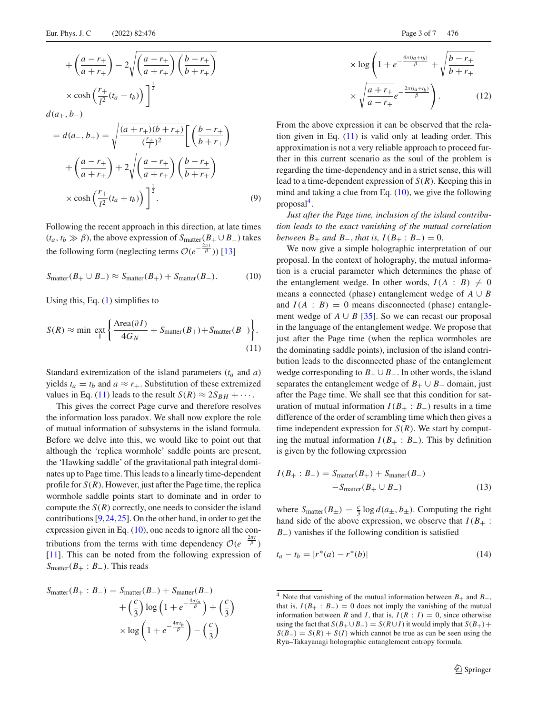$$
+\left(\frac{a-r_+}{a+r_+}\right) - 2\sqrt{\left(\frac{a-r_+}{a+r_+}\right)\left(\frac{b-r_+}{b+r_+}\right)}
$$

$$
\times \cosh\left(\frac{r_+}{l^2}(t_a - t_b)\right)\Big]^{\frac{1}{2}}
$$

$$
d(a_+, b_-)
$$

$$
= d(a_{-}, b_{+}) = \sqrt{\frac{(a + r_{+})(b + r_{+})}{(\frac{r_{+}}{l})^{2}} \left[ \left( \frac{b - r_{+}}{b + r_{+}} \right) + \left( \frac{a - r_{+}}{a + r_{+}} \right) + 2 \sqrt{\left( \frac{a - r_{+}}{a + r_{+}} \right) \left( \frac{b - r_{+}}{b + r_{+}} \right)} \right)}
$$

$$
\times \cosh\left(\frac{r_{+}}{l^{2}}(t_{a} + t_{b})\right) \Big]^{\frac{1}{2}}.
$$
(9)

Following the recent approach in this direction, at late times  $(t_a, t_b \gg \beta)$ , the above expression of  $S_{matter}(B_+ \cup B_-)$  takes the following form (neglecting terms  $\mathcal{O}(e^{-\frac{2\pi t}{\beta}})$ ) [\[13\]](#page-5-10)

<span id="page-2-1"></span>
$$
Smatter(B+ \cup B-) \approx Smatter(B+) + Smatter(B-).
$$
 (10)

Using this, Eq. [\(1\)](#page-0-3) simplifies to

<span id="page-2-0"></span>
$$
S(R) \approx \min_{I} \text{ext}\left\{\frac{\text{Area}(\partial I)}{4G_N} + S_{\text{matter}}(B_+) + S_{\text{matter}}(B_-)\right\}.
$$
\n(11)

Standard extremization of the island parameters  $(t_a$  and  $a)$ yields  $t_a = t_b$  and  $a \approx r_+$ . Substitution of these extremized values in Eq. [\(11\)](#page-2-0) leads to the result  $S(R) \approx 2S_{BH} + \cdots$ .

This gives the correct Page curve and therefore resolves the information loss paradox. We shall now explore the role of mutual information of subsystems in the island formula. Before we delve into this, we would like to point out that although the 'replica wormhole' saddle points are present, the 'Hawking saddle' of the gravitational path integral dominates up to Page time. This leads to a linearly time-dependent profile for  $S(R)$ . However, just after the Page time, the replica wormhole saddle points start to dominate and in order to compute the  $S(R)$  correctly, one needs to consider the island contributions [\[9](#page-5-8),[24,](#page-6-13)[25\]](#page-6-3). On the other hand, in order to get the expression given in Eq. [\(10\)](#page-2-1), one needs to ignore all the contributions from the terms with time dependency  $O(e^{-\frac{2\pi t}{\beta}})$ [\[11](#page-5-9)]. This can be noted from the following expression of *S*matter(*B*<sup>+</sup> : *B*−). This reads

$$
S_{\text{matter}}(B_+ : B_-) = S_{\text{matter}}(B_+) + S_{\text{matter}}(B_-)
$$

$$
+ \left(\frac{c}{3}\right) \log \left(1 + e^{-\frac{4\pi t_a}{\beta}}\right) + \left(\frac{c}{3}\right)
$$

$$
\times \log \left(1 + e^{-\frac{4\pi t_b}{\beta}}\right) - \left(\frac{c}{3}\right)
$$

$$
\times \log \left( 1 + e^{-\frac{4\pi (t_a + t_b)}{\beta}} + \sqrt{\frac{b - r_+}{b + r_+}} \times \sqrt{\frac{a + r_+}{a - r_+}} e^{-\frac{2\pi (t_a + t_b)}{\beta}} \right). \tag{12}
$$

From the above expression it can be observed that the relation given in Eq. [\(11\)](#page-2-0) is valid only at leading order. This approximation is not a very reliable approach to proceed further in this current scenario as the soul of the problem is regarding the time-dependency and in a strict sense, this will lead to a time-dependent expression of *S*(*R*). Keeping this in mind and taking a clue from Eq. [\(10\)](#page-2-1), we give the following proposal<sup>4</sup>.

*Just after the Page time, inclusion of the island contribution leads to the exact vanishing of the mutual correlation between*  $B_+$  *and*  $B_-,$  *that is,*  $I(B_+ : B_-) = 0$ .

We now give a simple holographic interpretation of our proposal. In the context of holography, the mutual information is a crucial parameter which determines the phase of the entanglement wedge. In other words,  $I(A : B) \neq 0$ means a connected (phase) entanglement wedge of  $A \cup B$ and  $I(A : B) = 0$  means disconnected (phase) entanglement wedge of  $A \cup B$  [\[35\]](#page-6-14). So we can recast our proposal in the language of the entanglement wedge. We propose that just after the Page time (when the replica wormholes are the dominating saddle points), inclusion of the island contribution leads to the disconnected phase of the entanglement wedge corresponding to  $B_+ \cup B_-$ . In other words, the island separates the entanglement wedge of  $B_+ \cup B_-$  domain, just after the Page time. We shall see that this condition for saturation of mutual information  $I(B_+ : B_-)$  results in a time difference of the order of scrambling time which then gives a time independent expression for  $S(R)$ . We start by computing the mutual information  $I(B_+ : B_-)$ . This by definition is given by the following expression

$$
I(B_+ : B_-) = S_{\text{matter}}(B_+) + S_{\text{matter}}(B_-)
$$
  
-S<sub>matter</sub> $(B_+ \cup B_-)$  (13)

where  $S_{\text{matter}}(B_{\pm}) = \frac{c}{3} \log d(a_{\pm}, b_{\pm})$ . Computing the right hand side of the above expression, we observe that  $I(B_+ :$ *B*<sup>−</sup>) vanishes if the following condition is satisfied

<span id="page-2-3"></span>
$$
t_a - t_b = |r^*(a) - r^*(b)|
$$
\n(14)

<span id="page-2-2"></span><sup>4</sup> Note that vanishing of the mutual information between *<sup>B</sup>*<sup>+</sup> and *<sup>B</sup>*−, that is,  $I(B_+ : B_-) = 0$  does not imply the vanishing of the mutual information between *R* and *I*, that is,  $I(R : I) = 0$ , since otherwise using the fact that  $S(B_+ \cup B_-) = S(R \cup I)$  it would imply that  $S(B_+)$  +  $S(B_-) = S(R) + S(I)$  which cannot be true as can be seen using the Ryu–Takayanagi holographic entanglement entropy formula.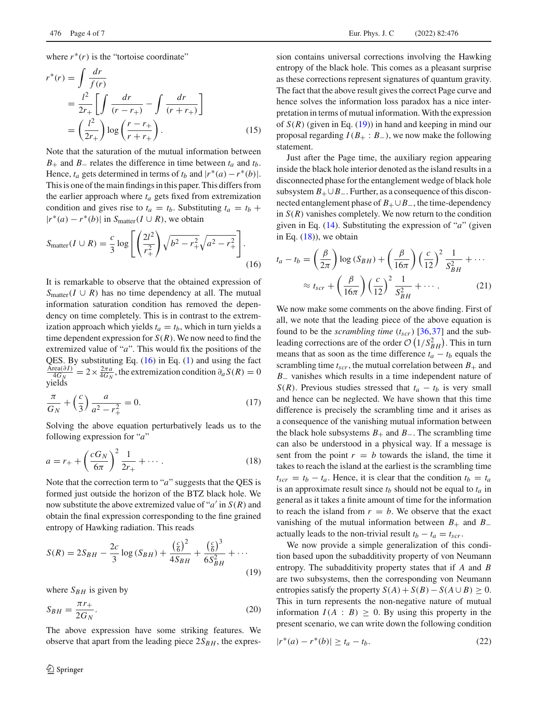where  $r^*(r)$  is the "tortoise coordinate"

$$
r^*(r) = \int \frac{dr}{f(r)}
$$
  
= 
$$
\frac{l^2}{2r_+} \left[ \int \frac{dr}{(r - r_+)} - \int \frac{dr}{(r + r_+)} \right]
$$
  
= 
$$
\left( \frac{l^2}{2r_+} \right) \log \left( \frac{r - r_+}{r + r_+} \right).
$$
 (15)

Note that the saturation of the mutual information between *B*<sub>+</sub> and *B*<sub>−</sub> relates the difference in time between  $t_a$  and  $t_b$ . Hence,  $t_a$  gets determined in terms of  $t_b$  and  $|r^*(a) - r^*(b)|$ . This is one of the main findings in this paper. This differs from the earlier approach where  $t_a$  gets fixed from extremization condition and gives rise to  $t_a = t_b$ . Substituting  $t_a = t_b +$  $|r^{*}(a) - r^{*}(b)|$  in *S*<sub>matter</sub>( $I \cup R$ ), we obtain

<span id="page-3-0"></span>
$$
S_{\text{matter}}(I \cup R) = \frac{c}{3} \log \left[ \left( \frac{2l^2}{r_+^2} \right) \sqrt{b^2 - r_+^2} \sqrt{a^2 - r_+^2} \right].
$$
\n(16)

It is remarkable to observe that the obtained expression of  $S<sub>matter</sub>(I \cup R)$  has no time dependency at all. The mutual information saturation condition has removed the dependency on time completely. This is in contrast to the extremization approach which yields  $t_a = t_b$ , which in turn yields a time dependent expression for  $S(R)$ . We now need to find the extremized value of "*a*". This would fix the positions of the QES. By substituting Eq.  $(16)$  in Eq.  $(1)$  and using the fact  $\frac{\text{Area}(\partial I)}{4G_N} = 2 \times \frac{2\pi a}{4G_N}$ , the extremization condition  $\partial_a S(R) = 0$ yields

$$
\frac{\pi}{G_N} + \left(\frac{c}{3}\right) \frac{a}{a^2 - r_+^2} = 0.
$$
 (17)

Solving the above equation perturbatively leads us to the following expression for "*a*"

<span id="page-3-2"></span>
$$
a = r_{+} + \left(\frac{cG_N}{6\pi}\right)^2 \frac{1}{2r_{+}} + \cdots
$$
 (18)

Note that the correction term to "*a*" suggests that the QES is formed just outside the horizon of the BTZ black hole. We now substitute the above extremized value of " $a'$  in  $S(R)$  and obtain the final expression corresponding to the fine grained entropy of Hawking radiation. This reads

<span id="page-3-1"></span>
$$
S(R) = 2S_{BH} - \frac{2c}{3} \log (S_{BH}) + \frac{\left(\frac{c}{6}\right)^2}{4S_{BH}} + \frac{\left(\frac{c}{6}\right)^3}{6S_{BH}^2} + \cdots
$$
\n(19)

where  $S_{BH}$  is given by

$$
S_{BH} = \frac{\pi r_+}{2G_N}.\tag{20}
$$

The above expression have some striking features. We observe that apart from the leading piece  $2S_{BH}$ , the expression contains universal corrections involving the Hawking entropy of the black hole. This comes as a pleasant surprise as these corrections represent signatures of quantum gravity. The fact that the above result gives the correct Page curve and hence solves the information loss paradox has a nice interpretation in terms of mutual information. With the expression of *S*(*R*) (given in Eq. [\(19\)](#page-3-1)) in hand and keeping in mind our proposal regarding  $I(B_+ : B_-)$ , we now make the following statement.

Just after the Page time, the auxiliary region appearing inside the black hole interior denoted as the island results in a disconnected phase for the entanglement wedge of black hole subsystem  $B_+ \cup B_-$ . Further, as a consequence of this disconnected entanglement phase of *B*+∪*B*−, the time-dependency in  $S(R)$  vanishes completely. We now return to the condition given in Eq. [\(14\)](#page-2-3). Substituting the expression of "*a*" (given in Eq.  $(18)$ , we obtain

$$
t_a - t_b = \left(\frac{\beta}{2\pi}\right) \log \left(S_{BH}\right) + \left(\frac{\beta}{16\pi}\right) \left(\frac{c}{12}\right)^2 \frac{1}{S_{BH}^2} + \cdots
$$

$$
\approx t_{scr} + \left(\frac{\beta}{16\pi}\right) \left(\frac{c}{12}\right)^2 \frac{1}{S_{BH}^2} + \cdots \qquad (21)
$$

We now make some comments on the above finding. First of all, we note that the leading piece of the above equation is found to be the *scrambling time*  $(t_{scr})$  [\[36](#page-6-15)[,37](#page-6-16)] and the subleading corrections are of the order  $\mathcal{O}(1/S_{BH}^2)$ . This in turn means that as soon as the time difference  $t_a - t_b$  equals the scrambling time  $t_{scr}$ , the mutual correlation between  $B_+$  and *B*− vanishes which results in a time independent nature of *S*(*R*). Previous studies stressed that  $t_a - t_b$  is very small and hence can be neglected. We have shown that this time difference is precisely the scrambling time and it arises as a consequence of the vanishing mutual information between the black hole subsystems  $B_+$  and  $B_-$ . The scrambling time can also be understood in a physical way. If a message is sent from the point  $r = b$  towards the island, the time it takes to reach the island at the earliest is the scrambling time  $t_{scr} = t_b - t_a$ . Hence, it is clear that the condition  $t_b = t_a$ is an approximate result since  $t_b$  should not be equal to  $t_a$  in general as it takes a finite amount of time for the information to reach the island from  $r = b$ . We observe that the exact vanishing of the mutual information between *B*<sup>+</sup> and *B*<sup>−</sup> actually leads to the non-trivial result  $t_b - t_a = t_{scr}$ .

We now provide a simple generalization of this condition based upon the subadditivity property of von Neumann entropy. The subadditivity property states that if *A* and *B* are two subsystems, then the corresponding von Neumann entropies satisfy the property  $S(A) + S(B) - S(A \cup B) \geq 0$ . This in turn represents the non-negative nature of mutual information  $I(A : B) \geq 0$ . By using this property in the present scenario, we can write down the following condition

$$
|r^*(a) - r^*(b)| \ge t_a - t_b. \tag{22}
$$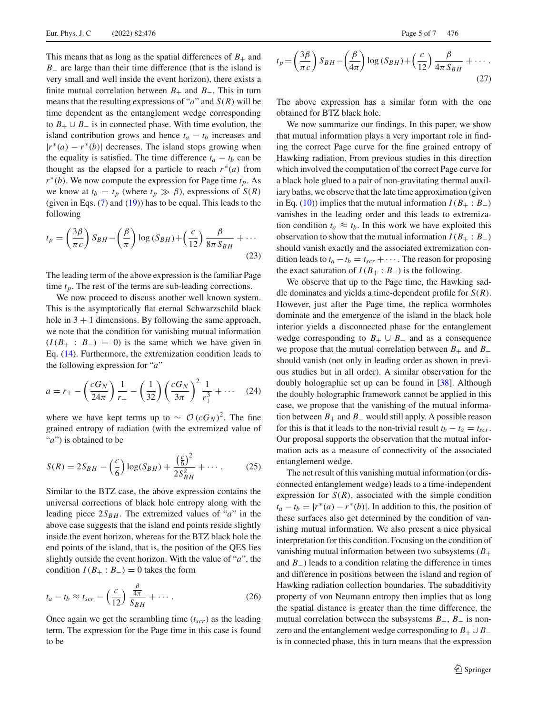This means that as long as the spatial differences of  $B_+$  and *B*<sup>−</sup> are large than their time difference (that is the island is very small and well inside the event horizon), there exists a finite mutual correlation between  $B_+$  and  $B_-$ . This in turn means that the resulting expressions of " $a$ " and  $S(R)$  will be time dependent as the entanglement wedge corresponding to  $B_+ \cup B_-$  is in connected phase. With time evolution, the island contribution grows and hence  $t_a - t_b$  increases and  $|r^{*}(a) - r^{*}(b)|$  decreases. The island stops growing when the equality is satisfied. The time difference  $t_a - t_b$  can be thought as the elapsed for a particle to reach  $r^*(a)$  from  $r^*(b)$ . We now compute the expression for Page time  $t_p$ . As we know at  $t_b = t_p$  (where  $t_p \gg \beta$ ), expressions of  $S(R)$ (given in Eqs. [\(7\)](#page-1-5) and [\(19\)](#page-3-1)) has to be equal. This leads to the following

$$
t_p = \left(\frac{3\beta}{\pi c}\right) S_{BH} - \left(\frac{\beta}{\pi}\right) \log \left(S_{BH}\right) + \left(\frac{c}{12}\right) \frac{\beta}{8\pi S_{BH}} + \dots
$$
\n(23)

The leading term of the above expression is the familiar Page time  $t_p$ . The rest of the terms are sub-leading corrections.

We now proceed to discuss another well known system. This is the asymptotically flat eternal Schwarzschild black hole in  $3 + 1$  dimensions. By following the same approach, we note that the condition for vanishing mutual information  $(I(B_+ : B_-) = 0)$  is the same which we have given in Eq. [\(14\)](#page-2-3). Furthermore, the extremization condition leads to the following expression for "*a*"

$$
a = r_{+} - \left(\frac{cG_N}{24\pi}\right) \frac{1}{r_{+}} - \left(\frac{1}{32}\right) \left(\frac{cG_N}{3\pi}\right)^2 \frac{1}{r_{+}^3} + \cdots \quad (24)
$$

where we have kept terms up to  $\sim$   $\mathcal{O}(cG_N)^2$ . The fine grained entropy of radiation (with the extremized value of "*a*") is obtained to be

$$
S(R) = 2S_{BH} - \left(\frac{c}{6}\right) \log(S_{BH}) + \frac{\left(\frac{c}{6}\right)^2}{2S_{BH}^2} + \cdots
$$
 (25)

Similar to the BTZ case, the above expression contains the universal corrections of black hole entropy along with the leading piece  $2S_{BH}$ . The extremized values of "*a*" in the above case suggests that the island end points reside slightly inside the event horizon, whereas for the BTZ black hole the end points of the island, that is, the position of the QES lies slightly outside the event horizon. With the value of "*a*", the condition  $I(B_+ : B_-) = 0$  takes the form

$$
t_a - t_b \approx t_{scr} - \left(\frac{c}{12}\right) \frac{\frac{\beta}{4\pi}}{S_{BH}} + \cdots. \tag{26}
$$

Once again we get the scrambling time  $(t_{scr})$  as the leading term. The expression for the Page time in this case is found to be

$$
t_p = \left(\frac{3\beta}{\pi c}\right) S_{BH} - \left(\frac{\beta}{4\pi}\right) \log \left(S_{BH}\right) + \left(\frac{c}{12}\right) \frac{\beta}{4\pi S_{BH}} + \cdots
$$
\n(27)

The above expression has a similar form with the one obtained for BTZ black hole.

We now summarize our findings. In this paper, we show that mutual information plays a very important role in finding the correct Page curve for the fine grained entropy of Hawking radiation. From previous studies in this direction which involved the computation of the correct Page curve for a black hole glued to a pair of non-gravitating thermal auxiliary baths, we observe that the late time approximation (given in Eq. [\(10\)](#page-2-1)) implies that the mutual information  $I(B_+ : B_-)$ vanishes in the leading order and this leads to extremization condition  $t_a \approx t_b$ . In this work we have exploited this observation to show that the mutual information  $I(B_+ : B_-)$ should vanish exactly and the associated extremization condition leads to  $t_a - t_b = t_{scr} + \cdots$ . The reason for proposing the exact saturation of  $I(B_+ : B_-)$  is the following.

We observe that up to the Page time, the Hawking saddle dominates and yields a time-dependent profile for *S*(*R*). However, just after the Page time, the replica wormholes dominate and the emergence of the island in the black hole interior yields a disconnected phase for the entanglement wedge corresponding to  $B_+ \cup B_-$  and as a consequence we propose that the mutual correlation between *B*<sup>+</sup> and *B*<sup>−</sup> should vanish (not only in leading order as shown in previous studies but in all order). A similar observation for the doubly holographic set up can be found in [\[38](#page-6-17)]. Although the doubly holographic framework cannot be applied in this case, we propose that the vanishing of the mutual information between  $B_+$  and  $B_-\$  would still apply. A possible reason for this is that it leads to the non-trivial result  $t_b - t_a = t_{scr}$ . Our proposal supports the observation that the mutual information acts as a measure of connectivity of the associated entanglement wedge.

The net result of this vanishing mutual information (or disconnected entanglement wedge) leads to a time-independent expression for  $S(R)$ , associated with the simple condition  $t_a - t_b = |r^*(a) - r^*(b)|$ . In addition to this, the position of these surfaces also get determined by the condition of vanishing mutual information. We also present a nice physical interpretation for this condition. Focusing on the condition of vanishing mutual information between two subsystems (*B*<sup>+</sup> and *B*−) leads to a condition relating the difference in times and difference in positions between the island and region of Hawking radiation collection boundaries. The subadditivity property of von Neumann entropy then implies that as long the spatial distance is greater than the time difference, the mutual correlation between the subsystems  $B_+$ ,  $B_-$  is nonzero and the entanglement wedge corresponding to  $B_+ \cup B_$ is in connected phase, this in turn means that the expression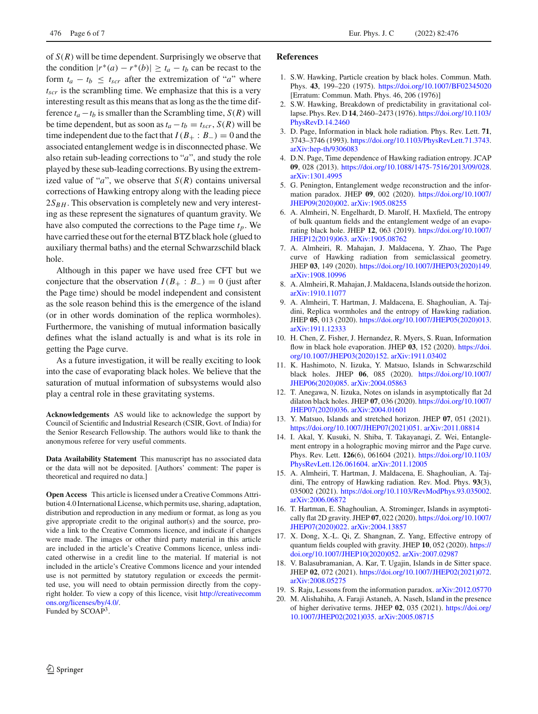of *S*(*R*) will be time dependent. Surprisingly we observe that the condition  $|r^*(a) - r^*(b)| \ge t_a - t_b$  can be recast to the form  $t_a - t_b \leq t_{scr}$  after the extremization of "*a*" where  $t_{scr}$  is the scrambling time. We emphasize that this is a very interesting result as this means that as long as the the time difference  $t_a - t_b$  is smaller than the Scrambling time,  $S(R)$  will be time dependent, but as soon as  $t_a - t_b = t_{scr}$ ,  $S(R)$  will be time independent due to the fact that  $I(B_+ : B_-) = 0$  and the associated entanglement wedge is in disconnected phase. We also retain sub-leading corrections to "*a*", and study the role played by these sub-leading corrections. By using the extremized value of " $a$ ", we observe that  $S(R)$  contains universal corrections of Hawking entropy along with the leading piece  $2S_{BH}$ . This observation is completely new and very interesting as these represent the signatures of quantum gravity. We have also computed the corrections to the Page time *tp*. We have carried these out for the eternal BTZ black hole (glued to auxiliary thermal baths) and the eternal Schwarzschild black hole.

Although in this paper we have used free CFT but we conjecture that the observation  $I(B_+ : B_-) = 0$  (just after the Page time) should be model independent and consistent as the sole reason behind this is the emergence of the island (or in other words domination of the replica wormholes). Furthermore, the vanishing of mutual information basically defines what the island actually is and what is its role in getting the Page curve.

As a future investigation, it will be really exciting to look into the case of evaporating black holes. We believe that the saturation of mutual information of subsystems would also play a central role in these gravitating systems.

**Acknowledgements** AS would like to acknowledge the support by Council of Scientific and Industrial Research (CSIR, Govt. of India) for the Senior Research Fellowship. The authors would like to thank the anonymous referee for very useful comments.

**Data Availability Statement** This manuscript has no associated data or the data will not be deposited. [Authors' comment: The paper is theoretical and required no data.]

**Open Access** This article is licensed under a Creative Commons Attribution 4.0 International License, which permits use, sharing, adaptation, distribution and reproduction in any medium or format, as long as you give appropriate credit to the original author(s) and the source, provide a link to the Creative Commons licence, and indicate if changes were made. The images or other third party material in this article are included in the article's Creative Commons licence, unless indicated otherwise in a credit line to the material. If material is not included in the article's Creative Commons licence and your intended use is not permitted by statutory regulation or exceeds the permitted use, you will need to obtain permission directly from the copyright holder. To view a copy of this licence, visit [http://creativecomm](http://creativecommons.org/licenses/by/4.0/) [ons.org/licenses/by/4.0/.](http://creativecommons.org/licenses/by/4.0/) Funded by SCOAP<sup>3</sup>.

## **References**

- <span id="page-5-0"></span>1. S.W. Hawking, Particle creation by black holes. Commun. Math. Phys. **43**, 199–220 (1975). <https://doi.org/10.1007/BF02345020> [Erratum: Commun. Math. Phys. 46, 206 (1976)]
- <span id="page-5-1"></span>2. S.W. Hawking, Breakdown of predictability in gravitational collapse. Phys. Rev. D **14**, 2460–2473 (1976). [https://doi.org/10.1103/](https://doi.org/10.1103/PhysRevD.14.2460) [PhysRevD.14.2460](https://doi.org/10.1103/PhysRevD.14.2460)
- <span id="page-5-2"></span>3. D. Page, Information in black hole radiation. Phys. Rev. Lett. **71**, 3743–3746 (1993). [https://doi.org/10.1103/PhysRevLett.71.3743.](https://doi.org/10.1103/PhysRevLett.71.3743) [arXiv:hep-th/9306083](http://arxiv.org/abs/hep-th/9306083)
- <span id="page-5-3"></span>4. D.N. Page, Time dependence of Hawking radiation entropy. JCAP **09**, 028 (2013). [https://doi.org/10.1088/1475-7516/2013/09/028.](https://doi.org/10.1088/1475-7516/2013/09/028) [arXiv:1301.4995](http://arxiv.org/abs/1301.4995)
- <span id="page-5-4"></span>5. G. Penington, Entanglement wedge reconstruction and the information paradox. JHEP **09**, 002 (2020). [https://doi.org/10.1007/](https://doi.org/10.1007/JHEP09(2020)002) [JHEP09\(2020\)002.](https://doi.org/10.1007/JHEP09(2020)002) [arXiv:1905.08255](http://arxiv.org/abs/1905.08255)
- <span id="page-5-6"></span>6. A. Almheiri, N. Engelhardt, D. Marolf, H. Maxfield, The entropy of bulk quantum fields and the entanglement wedge of an evaporating black hole. JHEP **12**, 063 (2019). [https://doi.org/10.1007/](https://doi.org/10.1007/JHEP12(2019)063) [JHEP12\(2019\)063.](https://doi.org/10.1007/JHEP12(2019)063) [arXiv:1905.08762](http://arxiv.org/abs/1905.08762)
- <span id="page-5-7"></span>7. A. Almheiri, R. Mahajan, J. Maldacena, Y. Zhao, The Page curve of Hawking radiation from semiclassical geometry. JHEP **03**, 149 (2020). [https://doi.org/10.1007/JHEP03\(2020\)149.](https://doi.org/10.1007/JHEP03(2020)149) [arXiv:1908.10996](http://arxiv.org/abs/1908.10996)
- 8. A. Almheiri, R. Mahajan, J. Maldacena, Islands outside the horizon. [arXiv:1910.11077](http://arxiv.org/abs/1910.11077)
- <span id="page-5-8"></span>9. A. Almheiri, T. Hartman, J. Maldacena, E. Shaghoulian, A. Tajdini, Replica wormholes and the entropy of Hawking radiation. JHEP **05**, 013 (2020). [https://doi.org/10.1007/JHEP05\(2020\)013.](https://doi.org/10.1007/JHEP05(2020)013) [arXiv:1911.12333](http://arxiv.org/abs/1911.12333)
- 10. H. Chen, Z. Fisher, J. Hernandez, R. Myers, S. Ruan, Information flow in black hole evaporation. JHEP **03**, 152 (2020). [https://doi.](https://doi.org/10.1007/JHEP03(2020)152) [org/10.1007/JHEP03\(2020\)152.](https://doi.org/10.1007/JHEP03(2020)152) [arXiv:1911.03402](http://arxiv.org/abs/1911.03402)
- <span id="page-5-9"></span>11. K. Hashimoto, N. Iizuka, Y. Matsuo, Islands in Schwarzschild black holes. JHEP **06**, 085 (2020). [https://doi.org/10.1007/](https://doi.org/10.1007/JHEP06(2020)085) [JHEP06\(2020\)085.](https://doi.org/10.1007/JHEP06(2020)085) [arXiv:2004.05863](http://arxiv.org/abs/2004.05863)
- 12. T. Anegawa, N. Iizuka, Notes on islands in asymptotically flat 2d dilaton black holes. JHEP **07**, 036 (2020). [https://doi.org/10.1007/](https://doi.org/10.1007/JHEP07(2020)036) [JHEP07\(2020\)036.](https://doi.org/10.1007/JHEP07(2020)036) [arXiv:2004.01601](http://arxiv.org/abs/2004.01601)
- <span id="page-5-10"></span>13. Y. Matsuo, Islands and stretched horizon. JHEP **07**, 051 (2021). [https://doi.org/10.1007/JHEP07\(2021\)051.](https://doi.org/10.1007/JHEP07(2021)051) [arXiv:2011.08814](http://arxiv.org/abs/2011.08814)
- 14. I. Akal, Y. Kusuki, N. Shiba, T. Takayanagi, Z. Wei, Entanglement entropy in a holographic moving mirror and the Page curve. Phys. Rev. Lett. **126**(6), 061604 (2021). [https://doi.org/10.1103/](https://doi.org/10.1103/PhysRevLett.126.061604) [PhysRevLett.126.061604.](https://doi.org/10.1103/PhysRevLett.126.061604) [arXiv:2011.12005](http://arxiv.org/abs/2011.12005)
- 15. A. Almheiri, T. Hartman, J. Maldacena, E. Shaghoulian, A. Tajdini, The entropy of Hawking radiation. Rev. Mod. Phys. **93**(3), 035002 (2021). [https://doi.org/10.1103/RevModPhys.93.035002.](https://doi.org/10.1103/RevModPhys.93.035002) [arXiv:2006.06872](http://arxiv.org/abs/2006.06872)
- 16. T. Hartman, E. Shaghoulian, A. Strominger, Islands in asymptotically flat 2D gravity. JHEP **07**, 022 (2020). [https://doi.org/10.1007/](https://doi.org/10.1007/JHEP07(2020)022) [JHEP07\(2020\)022.](https://doi.org/10.1007/JHEP07(2020)022) [arXiv:2004.13857](http://arxiv.org/abs/2004.13857)
- 17. X. Dong, X.-L. Qi, Z. Shangnan, Z. Yang, Effective entropy of quantum fields coupled with gravity. JHEP **10**, 052 (2020). [https://](https://doi.org/10.1007/JHEP10(2020)052) [doi.org/10.1007/JHEP10\(2020\)052.](https://doi.org/10.1007/JHEP10(2020)052) [arXiv:2007.02987](http://arxiv.org/abs/2007.02987)
- 18. V. Balasubramanian, A. Kar, T. Ugajin, Islands in de Sitter space. JHEP **02**, 072 (2021). [https://doi.org/10.1007/JHEP02\(2021\)072.](https://doi.org/10.1007/JHEP02(2021)072) [arXiv:2008.05275](http://arxiv.org/abs/2008.05275)
- 19. S. Raju, Lessons from the information paradox. [arXiv:2012.05770](http://arxiv.org/abs/2012.05770)
- <span id="page-5-5"></span>20. M. Alishahiha, A. Faraji Astaneh, A. Naseh, Island in the presence of higher derivative terms. JHEP **02**, 035 (2021). [https://doi.org/](https://doi.org/10.1007/JHEP02(2021)035) [10.1007/JHEP02\(2021\)035.](https://doi.org/10.1007/JHEP02(2021)035) [arXiv:2005.08715](http://arxiv.org/abs/2005.08715)